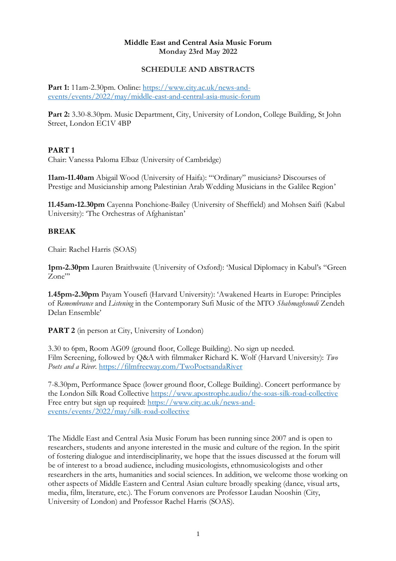## **Middle East and Central Asia Music Forum Monday 23rd May 2022**

### **SCHEDULE AND ABSTRACTS**

**Part 1:** 11am-2.30pm. Online: [https://www.city.ac.uk/news-and](https://www.city.ac.uk/news-and-events/events/2022/may/middle-east-and-central-asia-music-forum)[events/events/2022/may/middle-east-and-central-asia-music-forum](https://www.city.ac.uk/news-and-events/events/2022/may/middle-east-and-central-asia-music-forum)

**Part 2:** 3.30-8.30pm. Music Department, City, University of London, College Building, St John Street, London EC1V 4BP

## **PART 1**

Chair: Vanessa Paloma Elbaz (University of Cambridge)

**11am-11.40am** Abigail Wood (University of Haifa): '"Ordinary" musicians? Discourses of Prestige and Musicianship among Palestinian Arab Wedding Musicians in the Galilee Region'

**11.45am-12.30pm** Cayenna Ponchione-Bailey (University of Sheffield) and Mohsen Saifi (Kabul University): 'The Orchestras of Afghanistan'

## **BREAK**

Chair: Rachel Harris (SOAS)

**1pm-2.30pm** Lauren Braithwaite (University of Oxford): 'Musical Diplomacy in Kabul's "Green Zone"'

**1.45pm-2.30pm** Payam Yousefi (Harvard University): 'Awakened Hearts in Europe: Principles of *Remembrance* and *Listening* in the Contemporary Sufi Music of the MTO *Shahmaghsoudi* Zendeh Delan Ensemble'

**PART 2** (in person at City, University of London)

3.30 to 6pm, Room AG09 (ground floor, College Building). No sign up needed. Film Screening, followed by Q&A with filmmaker Richard K. Wolf (Harvard University): *Two Poets and a River.* <https://filmfreeway.com/TwoPoetsandaRiver>

7-8.30pm, Performance Space (lower ground floor, College Building). Concert performance by the London Silk Road Collective <https://www.apostrophe.audio/the-soas-silk-road-collective> Free entry but sign up required: [https://www.city.ac.uk/news-and](https://www.city.ac.uk/news-and-events/events/2022/may/silk-road-collective)[events/events/2022/may/silk-road-collective](https://www.city.ac.uk/news-and-events/events/2022/may/silk-road-collective)

The Middle East and Central Asia Music Forum has been running since 2007 and is open to researchers, students and anyone interested in the music and culture of the region. In the spirit of fostering dialogue and interdisciplinarity, we hope that the issues discussed at the forum will be of interest to a broad audience, including musicologists, ethnomusicologists and other researchers in the arts, humanities and social sciences. In addition, we welcome those working on other aspects of Middle Eastern and Central Asian culture broadly speaking (dance, visual arts, media, film, literature, etc.). The Forum convenors are Professor Laudan Nooshin (City, University of London) and Professor Rachel Harris (SOAS).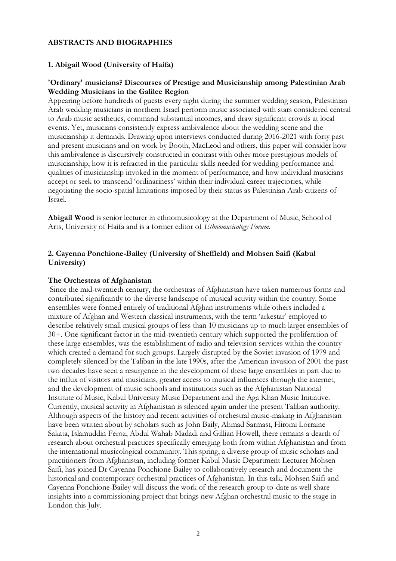### **ABSTRACTS AND BIOGRAPHIES**

#### **1. Abigail Wood (University of Haifa)**

#### **'Ordinary' musicians? Discourses of Prestige and Musicianship among Palestinian Arab Wedding Musicians in the Galilee Region**

Appearing before hundreds of guests every night during the summer wedding season, Palestinian Arab wedding musicians in northern Israel perform music associated with stars considered central to Arab music aesthetics, command substantial incomes, and draw significant crowds at local events. Yet, musicians consistently express ambivalence about the wedding scene and the musicianship it demands. Drawing upon interviews conducted during 2016-2021 with forty past and present musicians and on work by Booth, MacLeod and others, this paper will consider how this ambivalence is discursively constructed in contrast with other more prestigious models of musicianship, how it is refracted in the particular skills needed for wedding performance and qualities of musicianship invoked in the moment of performance, and how individual musicians accept or seek to transcend 'ordinariness' within their individual career trajectories, while negotiating the socio-spatial limitations imposed by their status as Palestinian Arab citizens of Israel.

**Abigail Wood** is senior lecturer in ethnomusicology at the Department of Music, School of Arts, University of Haifa and is a former editor of *Ethnomusicology Forum*.

## **2. Cayenna Ponchione-Bailey (University of Sheffield) and Mohsen Saifi (Kabul University)**

#### **The Orchestras of Afghanistan**

Since the mid-twentieth century, the orchestras of Afghanistan have taken numerous forms and contributed significantly to the diverse landscape of musical activity within the country. Some ensembles were formed entirely of traditional Afghan instruments while others included a mixture of Afghan and Western classical instruments, with the term 'arkestar' employed to describe relatively small musical groups of less than 10 musicians up to much larger ensembles of 30+. One significant factor in the mid-twentieth century which supported the proliferation of these large ensembles, was the establishment of radio and television services within the country which created a demand for such groups. Largely disrupted by the Soviet invasion of 1979 and completely silenced by the Taliban in the late 1990s, after the American invasion of 2001 the past two decades have seen a resurgence in the development of these large ensembles in part due to the influx of visitors and musicians, greater access to musical influences through the internet, and the development of music schools and institutions such as the Afghanistan National Institute of Music, Kabul University Music Department and the Aga Khan Music Initiative. Currently, musical activity in Afghanistan is silenced again under the present Taliban authority. Although aspects of the history and recent activities of orchestral music-making in Afghanistan have been written about by scholars such as John Baily, Ahmad Sarmast, Hiromi Lorraine Sakata, Islamuddin Feroz, Abdul Wahab Madadi and Gillian Howell, there remains a dearth of research about orchestral practices specifically emerging both from within Afghanistan and from the international musicological community. This spring, a diverse group of music scholars and practitioners from Afghanistan, including former Kabul Music Department Lecturer Mohsen Saifi, has joined Dr Cayenna Ponchione-Bailey to collaboratively research and document the historical and contemporary orchestral practices of Afghanistan. In this talk, Mohsen Saifi and Cayenna Ponchione-Bailey will discuss the work of the research group to-date as well share insights into a commissioning project that brings new Afghan orchestral music to the stage in London this July.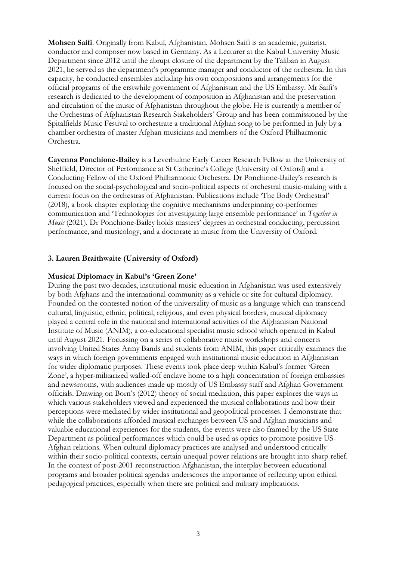**Mohsen Saifi**. Originally from Kabul, Afghanistan, Mohsen Saifi is an academic, guitarist, conductor and composer now based in Germany. As a Lecturer at the Kabul University Music Department since 2012 until the abrupt closure of the department by the Taliban in August 2021, he served as the department's programme manager and conductor of the orchestra. In this capacity, he conducted ensembles including his own compositions and arrangements for the official programs of the erstwhile government of Afghanistan and the US Embassy. Mr Saifi's research is dedicated to the development of composition in Afghanistan and the preservation and circulation of the music of Afghanistan throughout the globe. He is currently a member of the Orchestras of Afghanistan Research Stakeholders' Group and has been commissioned by the Spitalfields Music Festival to orchestrate a traditional Afghan song to be performed in July by a chamber orchestra of master Afghan musicians and members of the Oxford Philharmonic Orchestra.

**Cayenna Ponchione-Bailey** is a Leverhulme Early Career Research Fellow at the University of Sheffield, Director of Performance at St Catherine's College (University of Oxford) and a Conducting Fellow of the Oxford Philharmonic Orchestra. Dr Ponchione-Bailey's research is focused on the social-psychological and socio-political aspects of orchestral music-making with a current focus on the orchestras of Afghanistan. Publications include 'The Body Orchestral' (2018), a book chapter exploring the cognitive mechanisms underpinning co-performer communication and 'Technologies for investigating large ensemble performance' in *Together in Music* (2021). Dr Ponchione-Bailey holds masters' degrees in orchestral conducting, percussion performance, and musicology, and a doctorate in music from the University of Oxford.

#### **3. Lauren Braithwaite (University of Oxford)**

#### **Musical Diplomacy in Kabul's 'Green Zone'**

During the past two decades, institutional music education in Afghanistan was used extensively by both Afghans and the international community as a vehicle or site for cultural diplomacy. Founded on the contested notion of the universality of music as a language which can transcend cultural, linguistic, ethnic, political, religious, and even physical borders, musical diplomacy played a central role in the national and international activities of the Afghanistan National Institute of Music (ANIM), a co-educational specialist music school which operated in Kabul until August 2021. Focussing on a series of collaborative music workshops and concerts involving United States Army Bands and students from ANIM, this paper critically examines the ways in which foreign governments engaged with institutional music education in Afghanistan for wider diplomatic purposes. These events took place deep within Kabul's former 'Green Zone', a hyper-militarized walled-off enclave home to a high concentration of foreign embassies and newsrooms, with audiences made up mostly of US Embassy staff and Afghan Government officials. Drawing on Born's (2012) theory of social mediation, this paper explores the ways in which various stakeholders viewed and experienced the musical collaborations and how their perceptions were mediated by wider institutional and geopolitical processes. I demonstrate that while the collaborations afforded musical exchanges between US and Afghan musicians and valuable educational experiences for the students, the events were also framed by the US State Department as political performances which could be used as optics to promote positive US-Afghan relations. When cultural diplomacy practices are analysed and understood critically within their socio-political contexts, certain unequal power relations are brought into sharp relief. In the context of post-2001 reconstruction Afghanistan, the interplay between educational programs and broader political agendas underscores the importance of reflecting upon ethical pedagogical practices, especially when there are political and military implications.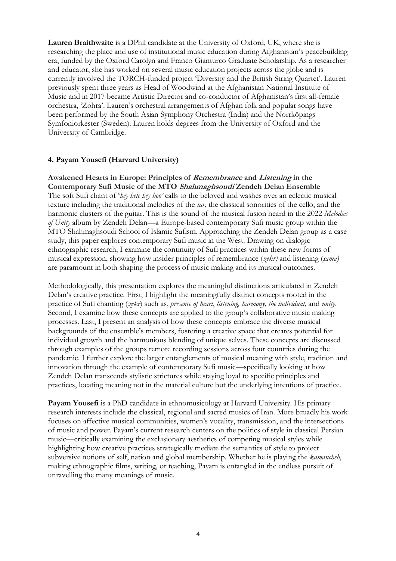**Lauren Braithwaite** is a DPhil candidate at the University of Oxford, UK, where she is researching the place and use of institutional music education during Afghanistan's peacebuilding era, funded by the Oxford Carolyn and Franco Gianturco Graduate Scholarship. As a researcher and educator, she has worked on several music education projects across the globe and is currently involved the TORCH-funded project 'Diversity and the British String Quartet'. Lauren previously spent three years as Head of Woodwind at the Afghanistan National Institute of Music and in 2017 became Artistic Director and co-conductor of Afghanistan's first all-female orchestra, 'Zohra'. Lauren's orchestral arrangements of Afghan folk and popular songs have been performed by the South Asian Symphony Orchestra (India) and the Norrköpings Symfoniorkester (Sweden). Lauren holds degrees from the University of Oxford and the University of Cambridge.

### **4. Payam Yousefi (Harvard University)**

**Awakened Hearts in Europe: Principles of Remembrance and Listening in the Contemporary Sufi Music of the MTO Shahmaghsoudi Zendeh Delan Ensemble** The soft Sufi chant of '*hey hele hey hoo'* calls to the beloved and washes over an eclectic musical texture including the traditional melodies of the *tar*, the classical sonorities of the cello, and the harmonic clusters of the guitar. This is the sound of the musical fusion heard in the 2022 *Melodies of Unity* album by Zendeh Delan—a Europe-based contemporary Sufi music group within the MTO Shahmaghsoudi School of Islamic Sufism. Approaching the Zendeh Delan group as a case study, this paper explores contemporary Sufi music in the West. Drawing on dialogic ethnographic research, I examine the continuity of Sufi practices within these new forms of musical expression, showing how insider principles of remembrance (*zekr)* and listening (*sama)*  are paramount in both shaping the process of music making and its musical outcomes.

Methodologically, this presentation explores the meaningful distinctions articulated in Zendeh Delan's creative practice. First, I highlight the meaningfully distinct concepts rooted in the practice of Sufi chanting (*zekr*) such as, *presence of heart*, *listening, harmony, the individual,* and *unity*. Second, I examine how these concepts are applied to the group's collaborative music making processes. Last, I present an analysis of how these concepts embrace the diverse musical backgrounds of the ensemble's members, fostering a creative space that creates potential for individual growth and the harmonious blending of unique selves. These concepts are discussed through examples of the groups remote recording sessions across four countries during the pandemic. I further explore the larger entanglements of musical meaning with style, tradition and innovation through the example of contemporary Sufi music—specifically looking at how Zendeh Delan transcends stylistic strictures while staying loyal to specific principles and practices, locating meaning not in the material culture but the underlying intentions of practice.

**Payam Yousefi** is a PhD candidate in ethnomusicology at Harvard University. His primary research interests include the classical, regional and sacred musics of Iran. More broadly his work focuses on affective musical communities, women's vocality, transmission, and the intersections of music and power. Payam's current research centers on the politics of style in classical Persian music—critically examining the exclusionary aesthetics of competing musical styles while highlighting how creative practices strategically mediate the semantics of style to project subversive notions of self, nation and global membership. Whether he is playing the *kamancheh*, making ethnographic films, writing, or teaching, Payam is entangled in the endless pursuit of unravelling the many meanings of music.